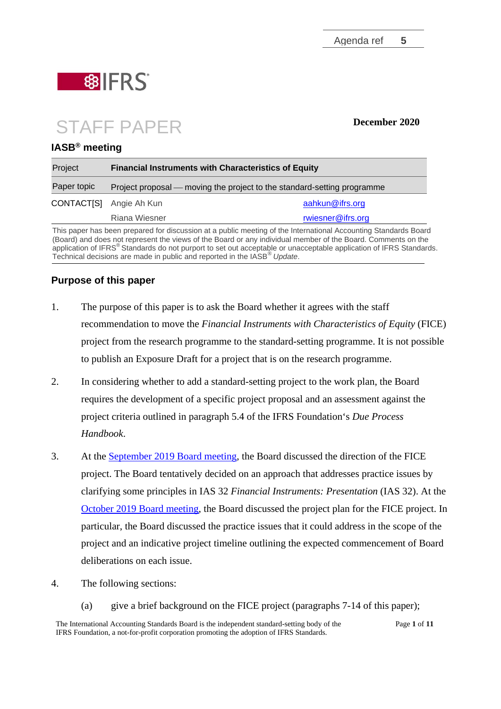

# STAFF PAPER **December 2020**

### **IASB® meeting**

| <b>Financial Instruments with Characteristics of Equity</b><br>Project<br>Paper topic<br>Project proposal — moving the project to the standard-setting programme |                   |
|------------------------------------------------------------------------------------------------------------------------------------------------------------------|-------------------|
|                                                                                                                                                                  |                   |
| Riana Wiesner                                                                                                                                                    | rwiesner@ifrs.org |
|                                                                                                                                                                  |                   |

This paper has been prepared for discussion at a public meeting of the International Accounting Standards Board (Board) and does not represent the views of the Board or any individual member of the Board. Comments on the application of IFRS<sup>®</sup> Standards do not purport to set out acceptable or una[cceptable application](mailto:rwiesner@ifrs.org) of IFRS Standards. Technical decisions are made in public and reported in the IASB® *Update*.

# **Purpose of this paper**

- 1. The purpose of this paper is to ask the Board whether it agrees with the staff recommendation to move the *Financial Instruments with Characteristics of Equity* (FICE) project from the research programme to the standard-setting programme. It is not possible to publish an Exposure Draft for a project that is on the research programme.
- 2. In considering whether to add a standard-setting project to the work plan, the Board requires the development of a specific project proposal and an assessment against the project criteria outlined in paragraph 5.4 of the IFRS Foundation's *Due Process Handbook*.
- 3. At the [September 2019](https://cdn.ifrs.org/-/media/feature/meetings/2019/september/iasb/ap5-fice.pdf) [Board meeting,](https://cdn.ifrs.org/-/media/feature/meetings/2019/september/iasb/ap5-fice.pdf) the Board discussed the direction of the FICE project. The Board tentatively decided on an approach that addresses practice issues by clarifying some principles in IAS 32 *Financial Instruments: Presentation* (IAS 32). At the [October 2019 Board meeting,](https://cdn.ifrs.org/-/media/feature/meetings/2019/october/iasb/ap5-fice.pdf) the Board discussed the project plan for the FICE project. In particular, the Board discussed the practice issues that it could address in the scope of the project and an indicative project timeline outlining the expected commencement of Board deliberations on each issue.
- 4. The following sections:
	- (a) give a brief background on the FICE project (paragraphs [7-](#page-1-0)[14](#page-3-0) of this paper);

The International Accounting Standards Board is the independent standard-setting body of the IFRS Foundation, a not-for-profit corporation promoting the adoption of IFRS Standards.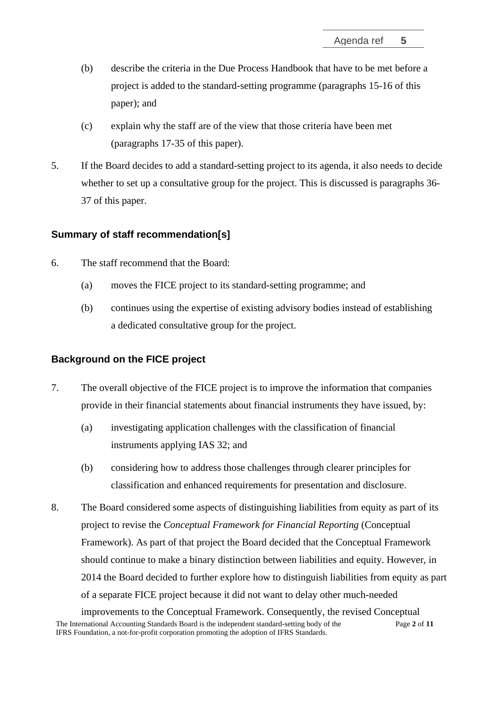- (b) describe the criteria in the Due Process Handbook that have to be met before a project is added to the standard-setting programme (paragraphs [15-](#page-3-1)[16](#page-3-2) of this paper); and
- (c) explain why the staff are of the view that those criteria have been met (paragraphs [17](#page-4-0)[-35](#page-9-0) of this paper).
- 5. If the Board decides to add a standard-setting project to its agenda, it also needs to decide whether to set up a consultative group for the project. This is discussed is paragraphs [36-](#page-9-1) [37](#page-9-2) of this paper.

# **Summary of staff recommendation[s]**

- 6. The staff recommend that the Board:
	- (a) moves the FICE project to its standard-setting programme; and
	- (b) continues using the expertise of existing advisory bodies instead of establishing a dedicated consultative group for the project.

#### **Background on the FICE project**

- <span id="page-1-0"></span>7. The overall objective of the FICE project is to improve the information that companies provide in their financial statements about financial instruments they have issued, by:
	- (a) investigating application challenges with the classification of financial instruments applying IAS 32; and
	- (b) considering how to address those challenges through clearer principles for classification and enhanced requirements for presentation and disclosure.
- 8. The Board considered some aspects of distinguishing liabilities from equity as part of its project to revise the *Conceptual Framework for Financial Reporting* (Conceptual Framework). As part of that project the Board decided that the Conceptual Framework should continue to make a binary distinction between liabilities and equity. However, in 2014 the Board decided to further explore how to distinguish liabilities from equity as part of a separate FICE project because it did not want to delay other much-needed

The International Accounting Standards Board is the independent standard-setting body of the IFRS Foundation, a not-for-profit corporation promoting the adoption of IFRS Standards. Page **2** of **11** improvements to the Conceptual Framework. Consequently, the revised Conceptual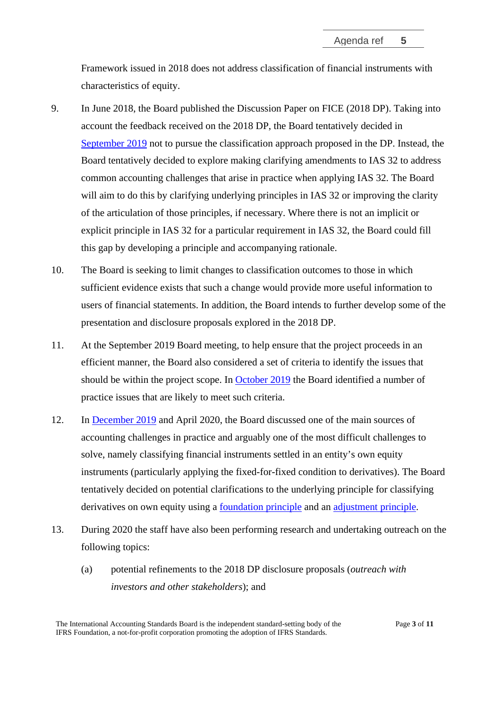Framework issued in 2018 does not address classification of financial instruments with characteristics of equity.

- 9. In June 2018, the Board published the Discussion Paper on FICE (2018 DP). Taking into account the feedback received on the 2018 DP, the Board tentatively decided in [September 2019](https://cdn.ifrs.org/-/media/feature/meetings/2019/september/iasb/ap5-fice.pdf) not to pursue the classification approach proposed in the DP. Instead, the Board tentatively decided to explore making clarifying amendments to IAS 32 to address common accounting challenges that arise in practice when applying IAS 32. The Board will aim to do this by clarifying underlying principles in IAS 32 or improving the clarity of the articulation of those principles, if necessary. Where there is not an implicit or explicit principle in IAS 32 for a particular requirement in IAS 32, the Board could fill this gap by developing a principle and accompanying rationale.
- 10. The Board is seeking to limit changes to classification outcomes to those in which sufficient evidence exists that such a change would provide more useful information to users of financial statements. In addition, the Board intends to further develop some of the presentation and disclosure proposals explored in the 2018 DP.
- 11. At the September 2019 Board meeting, to help ensure that the project proceeds in an efficient manner, the Board also considered a set of criteria to identify the issues that should be within the project scope. In [October 2019](https://cdn.ifrs.org/-/media/feature/meetings/2019/october/iasb/ap5-fice.pdf) the Board identified a number of practice issues that are likely to meet such criteria.
- 12. In [December 2019](https://cdn.ifrs.org/-/media/feature/meetings/2019/december/iasb/ap5-fice.pdf) and April 2020, the Board discussed one of the main sources of accounting challenges in practice and arguably one of the most difficult challenges to solve, namely classifying financial instruments settled in an entity's own equity instruments (particularly applying the fixed-for-fixed condition to derivatives). The Board tentatively decided on potential clarifications to the underlying principle for classifying derivatives on own equity using a [foundation principle](https://cdn.ifrs.org/-/media/feature/meetings/2020/april/iasb/ap5a-fice.pdf) and an [adjustment principle.](https://cdn.ifrs.org/-/media/feature/meetings/2020/april/iasb/ap5b-fice.pdf)
- 13. During 2020 the staff have also been performing research and undertaking outreach on the following topics:
	- (a) potential refinements to the 2018 DP disclosure proposals (*outreach with investors and other stakeholders*); and

The International Accounting Standards Board is the independent standard-setting body of the IFRS Foundation, a not-for-profit corporation promoting the adoption of IFRS Standards.

Page **3** of **11**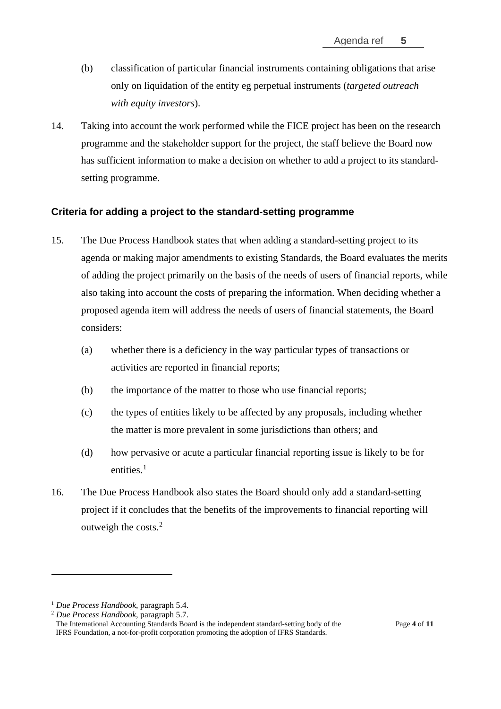- (b) classification of particular financial instruments containing obligations that arise only on liquidation of the entity eg perpetual instruments (*targeted outreach with equity investors*).
- <span id="page-3-0"></span>14. Taking into account the work performed while the FICE project has been on the research programme and the stakeholder support for the project, the staff believe the Board now has sufficient information to make a decision on whether to add a project to its standardsetting programme.

#### **Criteria for adding a project to the standard-setting programme**

- <span id="page-3-1"></span>15. The Due Process Handbook states that when adding a standard-setting project to its agenda or making major amendments to existing Standards, the Board evaluates the merits of adding the project primarily on the basis of the needs of users of financial reports, while also taking into account the costs of preparing the information. When deciding whether a proposed agenda item will address the needs of users of financial statements, the Board considers:
	- (a) whether there is a deficiency in the way particular types of transactions or activities are reported in financial reports;
	- (b) the importance of the matter to those who use financial reports;
	- (c) the types of entities likely to be affected by any proposals, including whether the matter is more prevalent in some jurisdictions than others; and
	- (d) how pervasive or acute a particular financial reporting issue is likely to be for entities $1$
- <span id="page-3-2"></span>16. The Due Process Handbook also states the Board should only add a standard-setting project if it concludes that the benefits of the improvements to financial reporting will outweigh the costs. $2$

<span id="page-3-3"></span><sup>1</sup> *Due Process Handbook*, paragraph 5.4.

<span id="page-3-4"></span><sup>2</sup> *Due Process Handbook*, paragraph 5.7.

The International Accounting Standards Board is the independent standard-setting body of the IFRS Foundation, a not-for-profit corporation promoting the adoption of IFRS Standards.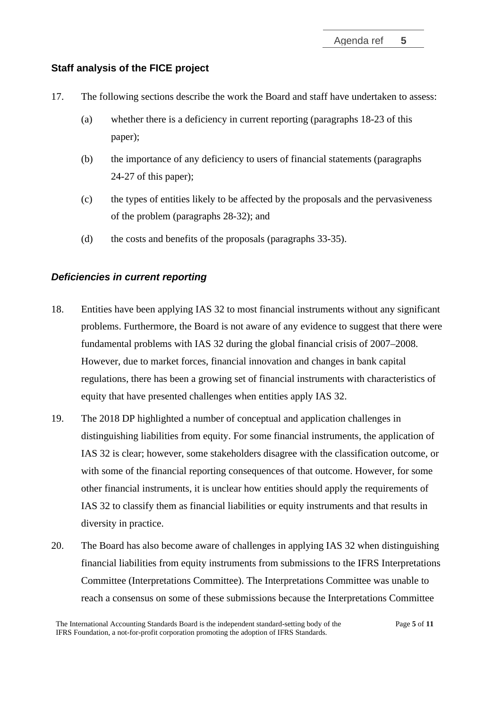# **Staff analysis of the FICE project**

- <span id="page-4-0"></span>17. The following sections describe the work the Board and staff have undertaken to assess:
	- (a) whether there is a deficiency in current reporting (paragraphs [18-](#page-4-1)[23](#page-5-0) of this paper);
	- (b) the importance of any deficiency to users of financial statements (paragraphs [24-](#page-6-0)[27](#page-6-1) of this paper);
	- (c) the types of entities likely to be affected by the proposals and the pervasiveness of the problem (paragraphs [28](#page-7-0)[-32\)](#page-8-0); and
	- (d) the costs and benefits of the proposals (paragraphs [33](#page-8-1)[-35\)](#page-9-0).

#### *Deficiencies in current reporting*

- 18. Entities have been applying IAS 32 to most financial instruments without any significant problems. Furthermore, the Board is not aware of any evidence to suggest that there were fundamental problems with IAS 32 during the global financial crisis of 2007–2008. However, due to market forces, financial innovation and changes in bank capital regulations, there has been a growing set of financial instruments with characteristics of equity that have presented challenges when entities apply IAS 32.
- <span id="page-4-1"></span>19. The 2018 DP highlighted a number of conceptual and application challenges in distinguishing liabilities from equity. For some financial instruments, the application of IAS 32 is clear; however, some stakeholders disagree with the classification outcome, or with some of the financial reporting consequences of that outcome. However, for some other financial instruments, it is unclear how entities should apply the requirements of IAS 32 to classify them as financial liabilities or equity instruments and that results in diversity in practice.
- 20. The Board has also become aware of challenges in applying IAS 32 when distinguishing financial liabilities from equity instruments from submissions to the IFRS Interpretations Committee (Interpretations Committee). The Interpretations Committee was unable to reach a consensus on some of these submissions because the Interpretations Committee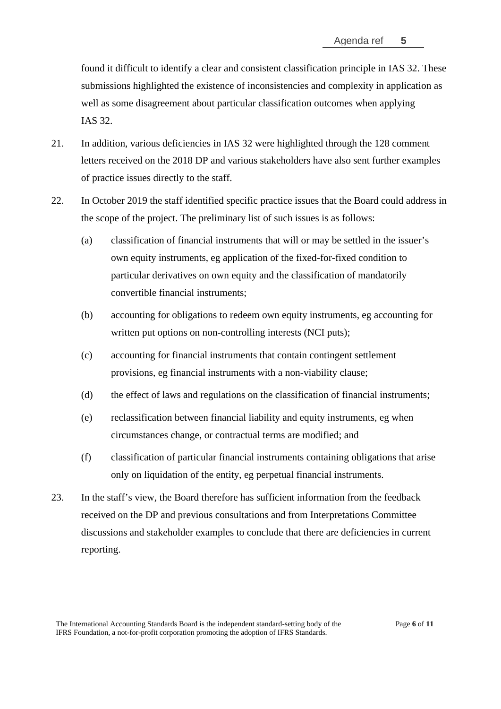found it difficult to identify a clear and consistent classification principle in IAS 32. These submissions highlighted the existence of inconsistencies and complexity in application as well as some disagreement about particular classification outcomes when applying IAS 32.

- 21. In addition, various deficiencies in IAS 32 were highlighted through the 128 comment letters received on the 2018 DP and various stakeholders have also sent further examples of practice issues directly to the staff.
- <span id="page-5-1"></span>22. In October 2019 the staff identified specific practice issues that the Board could address in the scope of the project. The preliminary list of such issues is as follows:
	- (a) classification of financial instruments that will or may be settled in the issuer's own equity instruments, eg application of the fixed-for-fixed condition to particular derivatives on own equity and the classification of mandatorily convertible financial instruments;
	- (b) accounting for obligations to redeem own equity instruments, eg accounting for written put options on non-controlling interests (NCI puts);
	- (c) accounting for financial instruments that contain contingent settlement provisions, eg financial instruments with a non-viability clause;
	- (d) the effect of laws and regulations on the classification of financial instruments;
	- (e) reclassification between financial liability and equity instruments, eg when circumstances change, or contractual terms are modified; and
	- (f) classification of particular financial instruments containing obligations that arise only on liquidation of the entity, eg perpetual financial instruments.
- <span id="page-5-0"></span>23. In the staff's view, the Board therefore has sufficient information from the feedback received on the DP and previous consultations and from Interpretations Committee discussions and stakeholder examples to conclude that there are deficiencies in current reporting.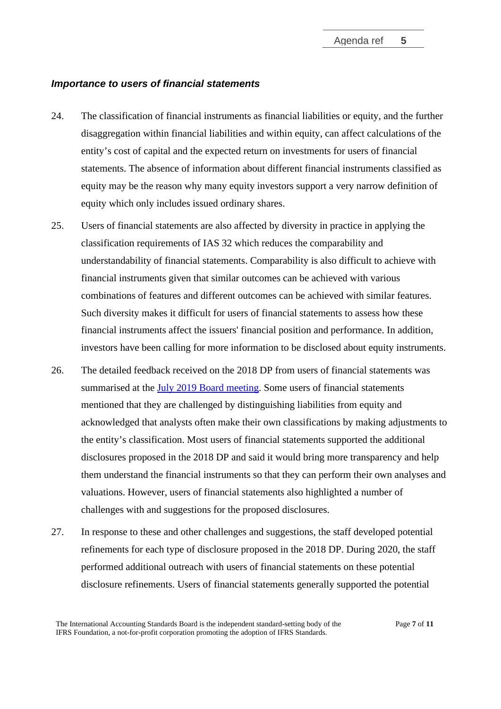# *Importance to users of financial statements*

- <span id="page-6-0"></span>24. The classification of financial instruments as financial liabilities or equity, and the further disaggregation within financial liabilities and within equity, can affect calculations of the entity's cost of capital and the expected return on investments for users of financial statements. The absence of information about different financial instruments classified as equity may be the reason why many equity investors support a very narrow definition of equity which only includes issued ordinary shares.
- 25. Users of financial statements are also affected by diversity in practice in applying the classification requirements of IAS 32 which reduces the comparability and understandability of financial statements. Comparability is also difficult to achieve with financial instruments given that similar outcomes can be achieved with various combinations of features and different outcomes can be achieved with similar features. Such diversity makes it difficult for users of financial statements to assess how these financial instruments affect the issuers' financial position and performance. In addition, investors have been calling for more information to be disclosed about equity instruments.
- 26. The detailed feedback received on the 2018 DP from users of financial statements was summarised at the [July 2019 Board meeting.](https://cdn.ifrs.org/-/media/feature/meetings/2019/july/iasb/ap5d-fice.pdf) Some users of financial statements mentioned that they are challenged by distinguishing liabilities from equity and acknowledged that analysts often make their own classifications by making adjustments to the entity's classification. Most users of financial statements supported the additional disclosures proposed in the 2018 DP and said it would bring more transparency and help them understand the financial instruments so that they can perform their own analyses and valuations. However, users of financial statements also highlighted a number of challenges with and suggestions for the proposed disclosures.
- <span id="page-6-1"></span>27. In response to these and other challenges and suggestions, the staff developed potential refinements for each type of disclosure proposed in the 2018 DP. During 2020, the staff performed additional outreach with users of financial statements on these potential disclosure refinements. Users of financial statements generally supported the potential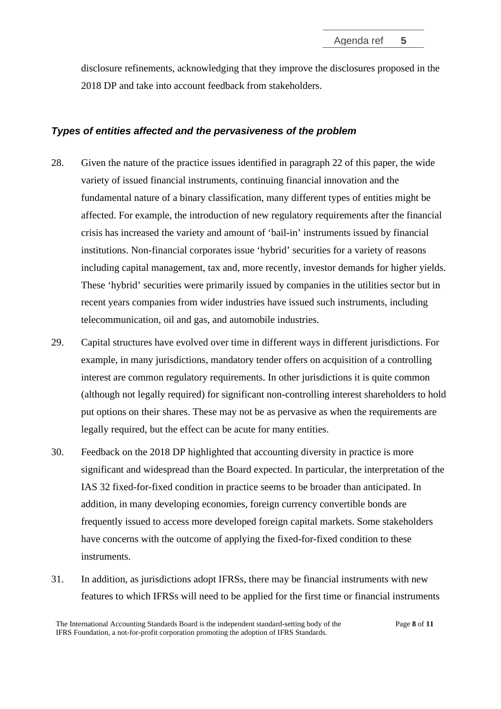disclosure refinements, acknowledging that they improve the disclosures proposed in the 2018 DP and take into account feedback from stakeholders.

## *Types of entities affected and the pervasiveness of the problem*

- <span id="page-7-0"></span>28. Given the nature of the practice issues identified in paragraph [22](#page-5-1) of this paper, the wide variety of issued financial instruments, continuing financial innovation and the fundamental nature of a binary classification, many different types of entities might be affected. For example, the introduction of new regulatory requirements after the financial crisis has increased the variety and amount of 'bail-in' instruments issued by financial institutions. Non-financial corporates issue 'hybrid' securities for a variety of reasons including capital management, tax and, more recently, investor demands for higher yields. These 'hybrid' securities were primarily issued by companies in the utilities sector but in recent years companies from wider industries have issued such instruments, including telecommunication, oil and gas, and automobile industries.
- 29. Capital structures have evolved over time in different ways in different jurisdictions. For example, in many jurisdictions, mandatory tender offers on acquisition of a controlling interest are common regulatory requirements. In other jurisdictions it is quite common (although not legally required) for significant non-controlling interest shareholders to hold put options on their shares. These may not be as pervasive as when the requirements are legally required, but the effect can be acute for many entities.
- 30. Feedback on the 2018 DP highlighted that accounting diversity in practice is more significant and widespread than the Board expected. In particular, the interpretation of the IAS 32 fixed-for-fixed condition in practice seems to be broader than anticipated. In addition, in many developing economies, foreign currency convertible bonds are frequently issued to access more developed foreign capital markets. Some stakeholders have concerns with the outcome of applying the fixed-for-fixed condition to these instruments.
- 31. In addition, as jurisdictions adopt IFRSs, there may be financial instruments with new features to which IFRSs will need to be applied for the first time or financial instruments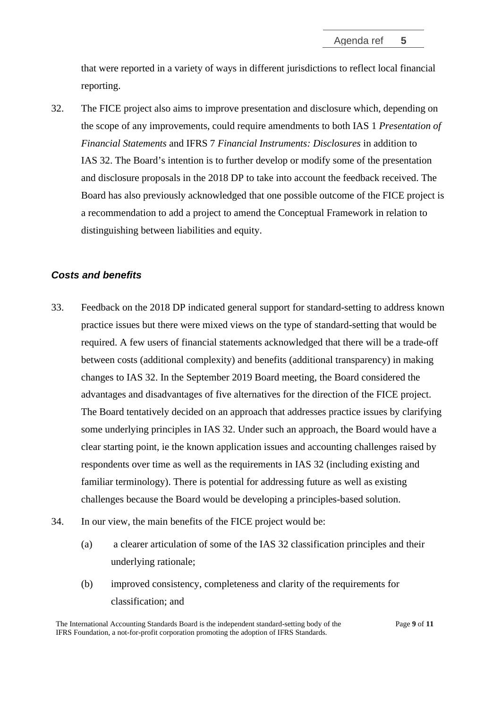that were reported in a variety of ways in different jurisdictions to reflect local financial reporting.

<span id="page-8-0"></span>32. The FICE project also aims to improve presentation and disclosure which, depending on the scope of any improvements, could require amendments to both IAS 1 *Presentation of Financial Statements* and IFRS 7 *Financial Instruments: Disclosures* in addition to IAS 32. The Board's intention is to further develop or modify some of the presentation and disclosure proposals in the 2018 DP to take into account the feedback received. The Board has also previously acknowledged that one possible outcome of the FICE project is a recommendation to add a project to amend the Conceptual Framework in relation to distinguishing between liabilities and equity.

#### *Costs and benefits*

- <span id="page-8-1"></span>33. Feedback on the 2018 DP indicated general support for standard-setting to address known practice issues but there were mixed views on the type of standard-setting that would be required. A few users of financial statements acknowledged that there will be a trade-off between costs (additional complexity) and benefits (additional transparency) in making changes to IAS 32. In the September 2019 Board meeting, the Board considered the advantages and disadvantages of five alternatives for the direction of the FICE project. The Board tentatively decided on an approach that addresses practice issues by clarifying some underlying principles in IAS 32. Under such an approach, the Board would have a clear starting point, ie the known application issues and accounting challenges raised by respondents over time as well as the requirements in IAS 32 (including existing and familiar terminology). There is potential for addressing future as well as existing challenges because the Board would be developing a principles-based solution.
- 34. In our view, the main benefits of the FICE project would be:
	- (a) a clearer articulation of some of the IAS 32 classification principles and their underlying rationale;
	- (b) improved consistency, completeness and clarity of the requirements for classification; and

The International Accounting Standards Board is the independent standard-setting body of the IFRS Foundation, a not-for-profit corporation promoting the adoption of IFRS Standards.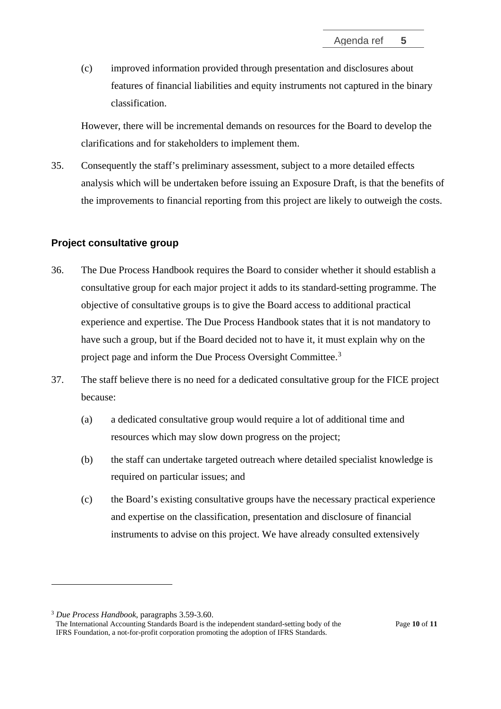(c) improved information provided through presentation and disclosures about features of financial liabilities and equity instruments not captured in the binary classification.

However, there will be incremental demands on resources for the Board to develop the clarifications and for stakeholders to implement them.

<span id="page-9-0"></span>35. Consequently the staff's preliminary assessment, subject to a more detailed effects analysis which will be undertaken before issuing an Exposure Draft, is that the benefits of the improvements to financial reporting from this project are likely to outweigh the costs.

# **Project consultative group**

- <span id="page-9-1"></span>36. The Due Process Handbook requires the Board to consider whether it should establish a consultative group for each major project it adds to its standard-setting programme. The objective of consultative groups is to give the Board access to additional practical experience and expertise. The Due Process Handbook states that it is not mandatory to have such a group, but if the Board decided not to have it, it must explain why on the project page and inform the Due Process Oversight Committee.[3](#page-9-3)
- <span id="page-9-2"></span>37. The staff believe there is no need for a dedicated consultative group for the FICE project because:
	- (a) a dedicated consultative group would require a lot of additional time and resources which may slow down progress on the project;
	- (b) the staff can undertake targeted outreach where detailed specialist knowledge is required on particular issues; and
	- (c) the Board's existing consultative groups have the necessary practical experience and expertise on the classification, presentation and disclosure of financial instruments to advise on this project. We have already consulted extensively

<span id="page-9-3"></span><sup>3</sup> *Due Process Handbook*, paragraphs 3.59-3.60.

The International Accounting Standards Board is the independent standard-setting body of the IFRS Foundation, a not-for-profit corporation promoting the adoption of IFRS Standards.